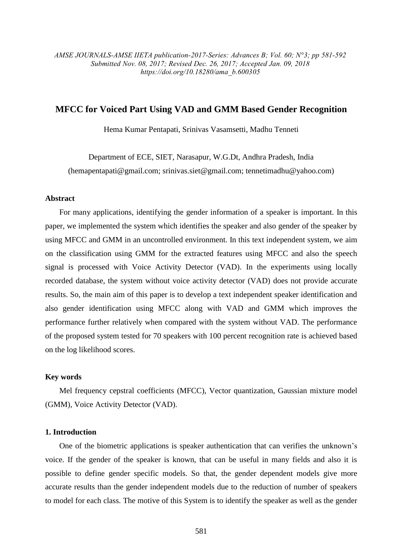*AMSE JOURNALS-AMSE IIETA publication-2017-Series: Advances B; Vol. 60; N°3; pp 581-592 Submitted Nov. 08, 2017; Revised Dec. 26, 2017; Accepted Jan. 09, 2018 https://doi.org/10.18280/ama\_b.600305*

# **MFCC for Voiced Part Using VAD and GMM Based Gender Recognition**

Hema Kumar Pentapati, Srinivas Vasamsetti, Madhu Tenneti

Department of ECE, SIET, Narasapur, W.G.Dt, Andhra Pradesh, India (hemapentapati@gmail.com; srinivas.siet@gmail.com; tennetimadhu@yahoo.com)

# **Abstract**

For many applications, identifying the gender information of a speaker is important. In this paper, we implemented the system which identifies the speaker and also gender of the speaker by using MFCC and GMM in an uncontrolled environment. In this text independent system, we aim on the classification using GMM for the extracted features using MFCC and also the speech signal is processed with Voice Activity Detector (VAD). In the experiments using locally recorded database, the system without voice activity detector (VAD) does not provide accurate results. So, the main aim of this paper is to develop a text independent speaker identification and also gender identification using MFCC along with VAD and GMM which improves the performance further relatively when compared with the system without VAD. The performance of the proposed system tested for 70 speakers with 100 percent recognition rate is achieved based on the log likelihood scores.

# **Key words**

Mel frequency cepstral coefficients (MFCC), Vector quantization, Gaussian mixture model (GMM), Voice Activity Detector (VAD).

## **1. Introduction**

One of the biometric applications is speaker authentication that can verifies the unknown's voice. If the gender of the speaker is known, that can be useful in many fields and also it is possible to define gender specific models. So that, the gender dependent models give more accurate results than the gender independent models due to the reduction of number of speakers to model for each class. The motive of this System is to identify the speaker as well as the gender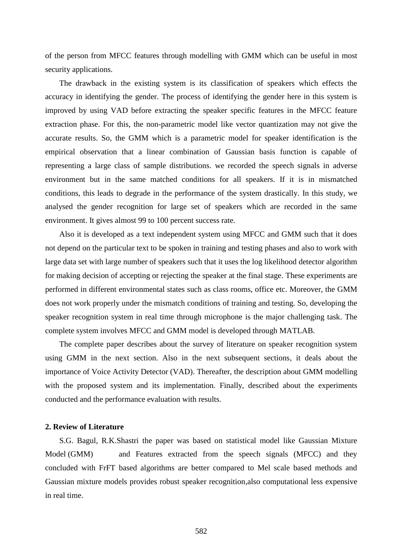of the person from MFCC features through modelling with GMM which can be useful in most security applications.

The drawback in the existing system is its classification of speakers which effects the accuracy in identifying the gender. The process of identifying the gender here in this system is improved by using VAD before extracting the speaker specific features in the MFCC feature extraction phase. For this, the non-parametric model like vector quantization may not give the accurate results. So, the GMM which is a parametric model for speaker identification is the empirical observation that a linear combination of Gaussian basis function is capable of representing a large class of sample distributions. we recorded the speech signals in adverse environment but in the same matched conditions for all speakers. If it is in mismatched conditions, this leads to degrade in the performance of the system drastically. In this study, we analysed the gender recognition for large set of speakers which are recorded in the same environment. It gives almost 99 to 100 percent success rate.

Also it is developed as a text independent system using MFCC and GMM such that it does not depend on the particular text to be spoken in training and testing phases and also to work with large data set with large number of speakers such that it uses the log likelihood detector algorithm for making decision of accepting or rejecting the speaker at the final stage. These experiments are performed in different environmental states such as class rooms, office etc. Moreover, the GMM does not work properly under the mismatch conditions of training and testing. So, developing the speaker recognition system in real time through microphone is the major challenging task. The complete system involves MFCC and GMM model is developed through MATLAB.

The complete paper describes about the survey of literature on speaker recognition system using GMM in the next section. Also in the next subsequent sections, it deals about the importance of Voice Activity Detector (VAD). Thereafter, the description about GMM modelling with the proposed system and its implementation. Finally, described about the experiments conducted and the performance evaluation with results.

#### **2. Review of Literature**

S.G. Bagul, R.K.Shastri the paper was based on statistical model like Gaussian Mixture Model (GMM) and Features extracted from the speech signals (MFCC) and they concluded with FrFT based algorithms are better compared to Mel scale based methods and Gaussian mixture models provides robust speaker recognition,also computational less expensive in real time.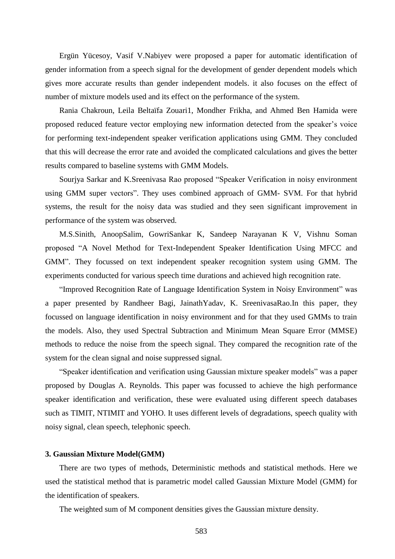Ergün Yücesoy, Vasif V.Nabiyev were proposed a paper for automatic identification of gender information from a speech signal for the development of gender dependent models which gives more accurate results than gender independent models. it also focuses on the effect of number of mixture models used and its effect on the performance of the system.

Rania Chakroun, Leila Beltaïfa Zouari1, Mondher Frikha, and Ahmed Ben Hamida were proposed reduced feature vector employing new information detected from the speaker's voice for performing text-independent speaker verification applications using GMM. They concluded that this will decrease the error rate and avoided the complicated calculations and gives the better results compared to baseline systems with GMM Models.

Sourjya Sarkar and K.Sreenivasa Rao proposed "Speaker Verification in noisy environment using GMM super vectors". They uses combined approach of GMM- SVM. For that hybrid systems, the result for the noisy data was studied and they seen significant improvement in performance of the system was observed.

M.S.Sinith, AnoopSalim, GowriSankar K, Sandeep Narayanan K V, Vishnu Soman proposed "A Novel Method for Text-Independent Speaker Identification Using MFCC and GMM". They focussed on text independent speaker recognition system using GMM. The experiments conducted for various speech time durations and achieved high recognition rate.

"Improved Recognition Rate of Language Identification System in Noisy Environment" was a paper presented by Randheer Bagi, JainathYadav, K. SreenivasaRao.In this paper, they focussed on language identification in noisy environment and for that they used GMMs to train the models. Also, they used Spectral Subtraction and Minimum Mean Square Error (MMSE) methods to reduce the noise from the speech signal. They compared the recognition rate of the system for the clean signal and noise suppressed signal.

"Speaker identification and verification using Gaussian mixture speaker models" was a paper proposed by Douglas A. Reynolds. This paper was focussed to achieve the high performance speaker identification and verification, these were evaluated using different speech databases such as TIMIT, NTIMIT and YOHO. It uses different levels of degradations, speech quality with noisy signal, clean speech, telephonic speech.

## **3. Gaussian Mixture Model(GMM)**

There are two types of methods, Deterministic methods and statistical methods. Here we used the statistical method that is parametric model called Gaussian Mixture Model (GMM) for the identification of speakers.

The weighted sum of M component densities gives the Gaussian mixture density.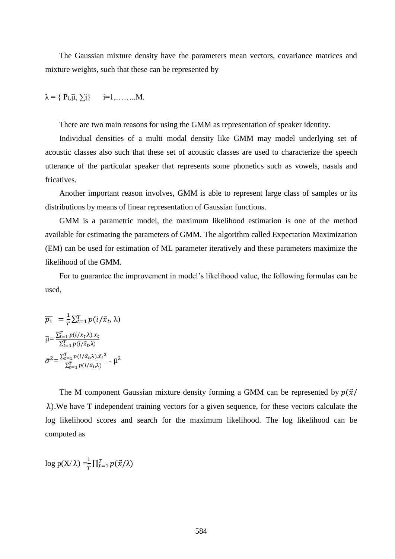The Gaussian mixture density have the parameters mean vectors, covariance matrices and mixture weights, such that these can be represented by

$$
\lambda = \{ P_i, \overline{\mu}, \sum i \} \qquad i=1, \ldots \ldots M.
$$

There are two main reasons for using the GMM as representation of speaker identity.

Individual densities of a multi modal density like GMM may model underlying set of acoustic classes also such that these set of acoustic classes are used to characterize the speech utterance of the particular speaker that represents some phonetics such as vowels, nasals and fricatives.

Another important reason involves, GMM is able to represent large class of samples or its distributions by means of linear representation of Gaussian functions.

GMM is a parametric model, the maximum likelihood estimation is one of the method available for estimating the parameters of GMM. The algorithm called Expectation Maximization (EM) can be used for estimation of ML parameter iteratively and these parameters maximize the likelihood of the GMM.

For to guarantee the improvement in model's likelihood value, the following formulas can be used,

$$
\overline{p_1} = \frac{1}{T} \sum_{t=1}^T p(i/\bar{x}_t, \lambda)
$$

$$
\overline{\mu} = \frac{\sum_{t=1}^T p(i/\bar{x}_t, \lambda) . \bar{x}_t}{\sum_{t=1}^T p(i/\bar{x}_t, \lambda)}
$$

$$
\overline{\sigma}^2 = \frac{\sum_{t=1}^T p(i/\bar{x}_t, \lambda) . \bar{x}_t^2}{\sum_{t=1}^T p(i/\bar{x}_t, \lambda)} - \overline{\mu}^2
$$

The M component Gaussian mixture density forming a GMM can be represented by  $p(\vec{x})$ λ).We have T independent training vectors for a given sequence, for these vectors calculate the log likelihood scores and search for the maximum likelihood. The log likelihood can be computed as

 $\log p(X/\lambda) = \frac{1}{\pi}$  $\frac{1}{T}\prod_{t=1}^{T}p(\vec{x}/\lambda)$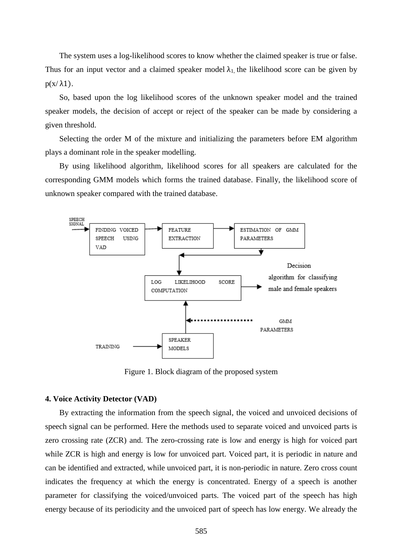The system uses a log-likelihood scores to know whether the claimed speaker is true or false. Thus for an input vector and a claimed speaker model  $\lambda_1$ , the likelihood score can be given by  $p(x/\lambda 1)$ .

So, based upon the log likelihood scores of the unknown speaker model and the trained speaker models, the decision of accept or reject of the speaker can be made by considering a given threshold.

Selecting the order M of the mixture and initializing the parameters before EM algorithm plays a dominant role in the speaker modelling.

By using likelihood algorithm, likelihood scores for all speakers are calculated for the corresponding GMM models which forms the trained database. Finally, the likelihood score of unknown speaker compared with the trained database.



Figure 1. Block diagram of the proposed system

# **4. Voice Activity Detector (VAD)**

By extracting the information from the speech signal, the voiced and unvoiced decisions of speech signal can be performed. Here the methods used to separate voiced and unvoiced parts is zero crossing rate (ZCR) and. The zero-crossing rate is low and energy is high for voiced part while ZCR is high and energy is low for unvoiced part. Voiced part, it is periodic in nature and can be identified and extracted, while unvoiced part, it is non-periodic in nature. Zero cross count indicates the frequency at which the energy is concentrated. Energy of a speech is another parameter for classifying the voiced/unvoiced parts. The voiced part of the speech has high energy because of its periodicity and the unvoiced part of speech has low energy. We already the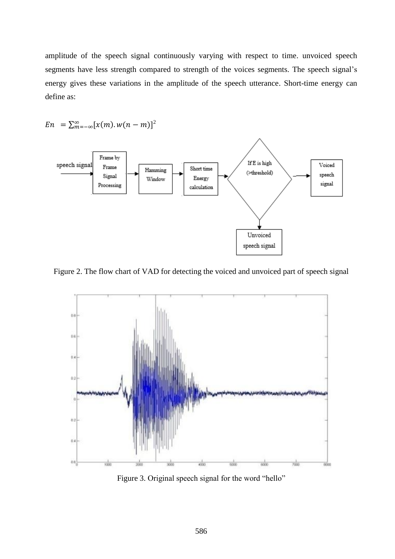amplitude of the speech signal continuously varying with respect to time. unvoiced speech segments have less strength compared to strength of the voices segments. The speech signal's energy gives these variations in the amplitude of the speech utterance. Short-time energy can define as:

 = ∑ [(). ( − ) ∞ =−∞ ] 2

Figure 2. The flow chart of VAD for detecting the voiced and unvoiced part of speech signal



Figure 3. Original speech signal for the word "hello"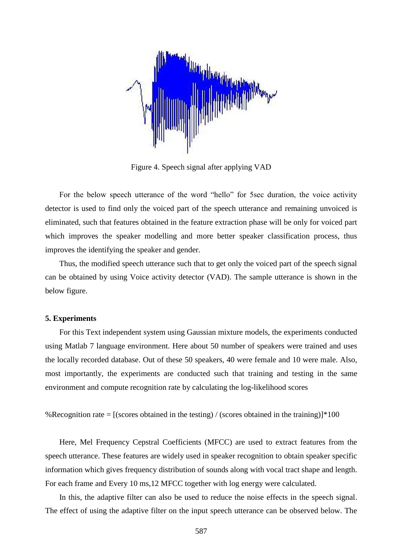

Figure 4. Speech signal after applying VAD

For the below speech utterance of the word "hello" for 5sec duration, the voice activity detector is used to find only the voiced part of the speech utterance and remaining unvoiced is eliminated, such that features obtained in the feature extraction phase will be only for voiced part which improves the speaker modelling and more better speaker classification process, thus improves the identifying the speaker and gender.

Thus, the modified speech utterance such that to get only the voiced part of the speech signal can be obtained by using Voice activity detector (VAD). The sample utterance is shown in the below figure.

# **5. Experiments**

For this Text independent system using Gaussian mixture models, the experiments conducted using Matlab 7 language environment. Here about 50 number of speakers were trained and uses the locally recorded database. Out of these 50 speakers, 40 were female and 10 were male. Also, most importantly, the experiments are conducted such that training and testing in the same environment and compute recognition rate by calculating the log-likelihood scores

```
%Recognition rate = [(\text{scores obtained in the testing}) / (\text{scores obtained in the training})] * 100
```
Here, Mel Frequency Cepstral Coefficients (MFCC) are used to extract features from the speech utterance. These features are widely used in speaker recognition to obtain speaker specific information which gives frequency distribution of sounds along with vocal tract shape and length. For each frame and Every 10 ms,12 MFCC together with log energy were calculated.

In this, the adaptive filter can also be used to reduce the noise effects in the speech signal. The effect of using the adaptive filter on the input speech utterance can be observed below. The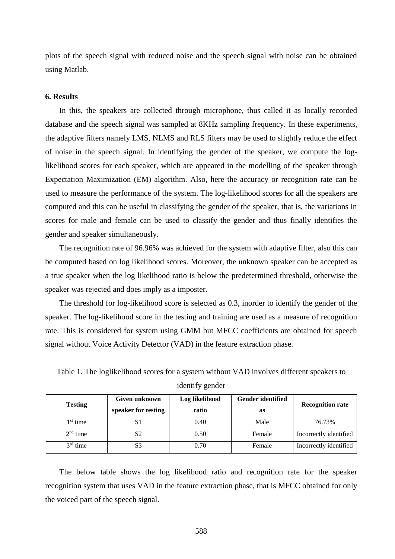plots of the speech signal with reduced noise and the speech signal with noise can be obtained using Matlab.

## **6. Results**

In this, the speakers are collected through microphone, thus called it as locally recorded database and the speech signal was sampled at 8KHz sampling frequency. In these experiments, the adaptive filters namely LMS, NLMS and RLS filters may be used to slightly reduce the effect of noise in the speech signal. In identifying the gender of the speaker, we compute the loglikelihood scores for each speaker, which are appeared in the modelling of the speaker through Expectation Maximization (EM) algorithm. Also, here the accuracy or recognition rate can be used to measure the performance of the system. The log-likelihood scores for all the speakers are computed and this can be useful in classifying the gender of the speaker, that is, the variations in scores for male and female can be used to classify the gender and thus finally identifies the gender and speaker simultaneously.

The recognition rate of 96.96% was achieved for the system with adaptive filter, also this can be computed based on log likelihood scores. Moreover, the unknown speaker can be accepted as a true speaker when the log likelihood ratio is below the predetermined threshold, otherwise the speaker was rejected and does imply as a imposter.

The threshold for log-likelihood score is selected as 0.3, inorder to identify the gender of the speaker. The log-likelihood score in the testing and training are used as a measure of recognition rate. This is considered for system using GMM but MFCC coefficients are obtained for speech signal without Voice Activity Detector (VAD) in the feature extraction phase.

| <b>Testing</b> | <b>Given unknown</b><br>speaker for testing | Log likelihood<br>ratio | <b>Gender identified</b><br>as | <b>Recognition rate</b> |
|----------------|---------------------------------------------|-------------------------|--------------------------------|-------------------------|
| $1st$ time     |                                             | 0.40                    | Male                           | 76.73%                  |
| $2nd$ time     | S <sub>2</sub>                              | 0.50                    | Female                         | Incorrectly identified  |
| $3rd$ time     | S <sub>3</sub>                              | 0.70                    | Female                         | Incorrectly identified  |

Table 1. The loglikelihood scores for a system without VAD involves different speakers to

identify gender

The below table shows the log likelihood ratio and recognition rate for the speaker recognition system that uses VAD in the feature extraction phase, that is MFCC obtained for only the voiced part of the speech signal.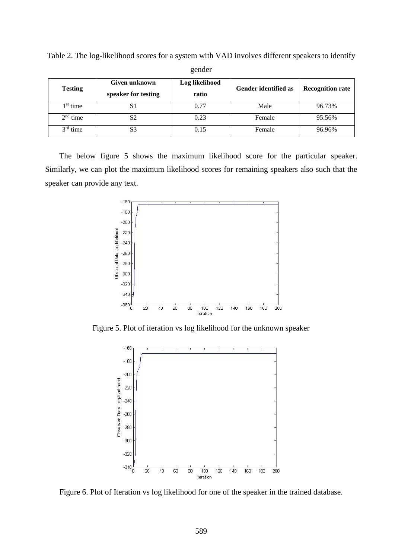| <b>Testing</b> | Given unknown<br>speaker for testing | Log likelihood<br>ratio | <b>Gender identified as</b> | <b>Recognition rate</b> |
|----------------|--------------------------------------|-------------------------|-----------------------------|-------------------------|
| $1st$ time     | S1                                   | 0.77                    | Male                        | 96.73%                  |
| $2nd$ time     | S2                                   | 0.23                    | Female                      | 95.56%                  |
| $3rd$ time     | S3                                   | 0.15                    | Female                      | 96.96%                  |

Table 2. The log-likelihood scores for a system with VAD involves different speakers to identify gender

The below figure 5 shows the maximum likelihood score for the particular speaker. Similarly, we can plot the maximum likelihood scores for remaining speakers also such that the speaker can provide any text.



Figure 5. Plot of iteration vs log likelihood for the unknown speaker



Figure 6. Plot of Iteration vs log likelihood for one of the speaker in the trained database.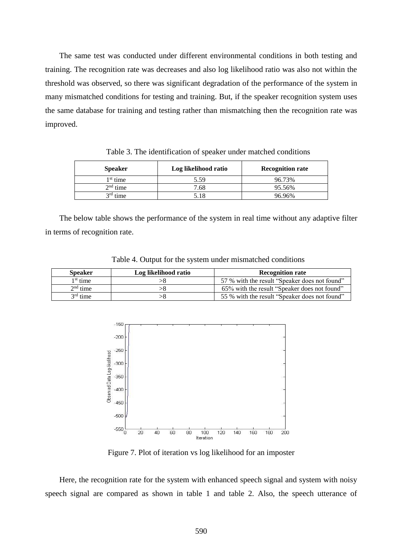The same test was conducted under different environmental conditions in both testing and training. The recognition rate was decreases and also log likelihood ratio was also not within the threshold was observed, so there was significant degradation of the performance of the system in many mismatched conditions for testing and training. But, if the speaker recognition system uses the same database for training and testing rather than mismatching then the recognition rate was improved.

| <b>Speaker</b> | Log likelihood ratio | <b>Recognition rate</b> |
|----------------|----------------------|-------------------------|
| $1st$ time     | 5.59                 | 96.73%                  |
| $2nd$ time     | 7.68                 | 95.56%                  |
| $3rd$ time     | 5.18                 | 96.96%                  |

Table 3. The identification of speaker under matched conditions

The below table shows the performance of the system in real time without any adaptive filter in terms of recognition rate.

| <b>Speaker</b>       | Log likelihood ratio | <b>Recognition rate</b>                       |
|----------------------|----------------------|-----------------------------------------------|
| 1 <sup>st</sup> time |                      | 57 % with the result "Speaker does not found" |
| $2nd$ time           |                      | 65% with the result "Speaker does not found"  |
| $3rd$ time           |                      | 55 % with the result "Speaker does not found" |

Table 4. Output for the system under mismatched conditions



Figure 7. Plot of iteration vs log likelihood for an imposter

Here, the recognition rate for the system with enhanced speech signal and system with noisy speech signal are compared as shown in table 1 and table 2. Also, the speech utterance of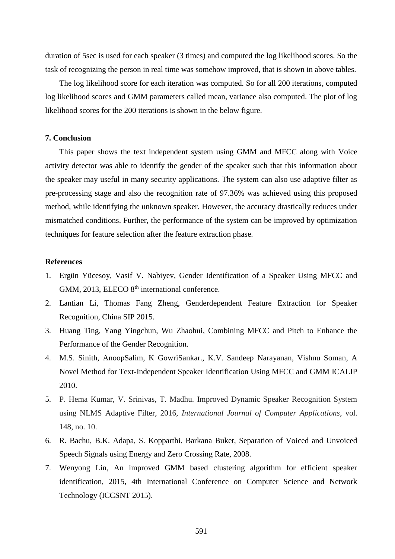duration of 5sec is used for each speaker (3 times) and computed the log likelihood scores. So the task of recognizing the person in real time was somehow improved, that is shown in above tables.

The log likelihood score for each iteration was computed. So for all 200 iterations, computed log likelihood scores and GMM parameters called mean, variance also computed. The plot of log likelihood scores for the 200 iterations is shown in the below figure.

## **7. Conclusion**

This paper shows the text independent system using GMM and MFCC along with Voice activity detector was able to identify the gender of the speaker such that this information about the speaker may useful in many security applications. The system can also use adaptive filter as pre-processing stage and also the recognition rate of 97.36% was achieved using this proposed method, while identifying the unknown speaker. However, the accuracy drastically reduces under mismatched conditions. Further, the performance of the system can be improved by optimization techniques for feature selection after the feature extraction phase.

#### **References**

- 1. Ergün Yücesoy, Vasif V. Nabiyev, Gender Identification of a Speaker Using MFCC and GMM, 2013, ELECO  $8<sup>th</sup>$  international conference.
- 2. Lantian Li, Thomas Fang Zheng, Genderdependent Feature Extraction for Speaker Recognition, China SIP 2015.
- 3. Huang Ting, Yang Yingchun, Wu Zhaohui, Combining MFCC and Pitch to Enhance the Performance of the Gender Recognition.
- 4. M.S. Sinith, AnoopSalim, K GowriSankar., K.V. Sandeep Narayanan, Vishnu Soman, A Novel Method for Text-Independent Speaker Identification Using MFCC and GMM ICALIP 2010.
- 5. P. Hema Kumar, V. Srinivas, T. Madhu. Improved Dynamic Speaker Recognition System using NLMS Adaptive Filter, 2016, *International Journal of Computer Applications*, vol. 148, no. 10.
- 6. R. Bachu, B.K. Adapa, S. Kopparthi. Barkana Buket, Separation of Voiced and Unvoiced Speech Signals using Energy and Zero Crossing Rate, 2008.
- 7. Wenyong Lin, An improved GMM based clustering algorithm for efficient speaker identification, 2015, 4th International Conference on Computer Science and Network Technology (ICCSNT 2015).